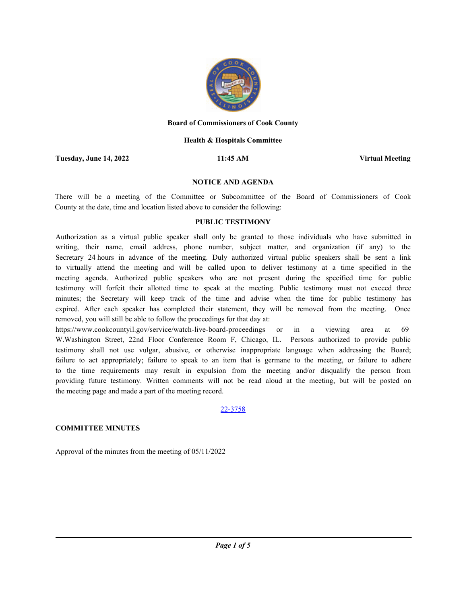

#### **Board of Commissioners of Cook County**

### **Health & Hospitals Committee**

**Tuesday, June 14, 2022 11:45 AM Virtual Meeting**

#### **NOTICE AND AGENDA**

There will be a meeting of the Committee or Subcommittee of the Board of Commissioners of Cook County at the date, time and location listed above to consider the following:

### **PUBLIC TESTIMONY**

Authorization as a virtual public speaker shall only be granted to those individuals who have submitted in writing, their name, email address, phone number, subject matter, and organization (if any) to the Secretary 24 hours in advance of the meeting. Duly authorized virtual public speakers shall be sent a link to virtually attend the meeting and will be called upon to deliver testimony at a time specified in the meeting agenda. Authorized public speakers who are not present during the specified time for public testimony will forfeit their allotted time to speak at the meeting. Public testimony must not exceed three minutes; the Secretary will keep track of the time and advise when the time for public testimony has expired. After each speaker has completed their statement, they will be removed from the meeting. Once removed, you will still be able to follow the proceedings for that day at:

https://www.cookcountyil.gov/service/watch-live-board-proceedings or in a viewing area at 69 W.Washington Street, 22nd Floor Conference Room F, Chicago, IL. Persons authorized to provide public testimony shall not use vulgar, abusive, or otherwise inappropriate language when addressing the Board; failure to act appropriately; failure to speak to an item that is germane to the meeting, or failure to adhere to the time requirements may result in expulsion from the meeting and/or disqualify the person from providing future testimony. Written comments will not be read aloud at the meeting, but will be posted on the meeting page and made a part of the meeting record.

#### 22-3758

## **COMMITTEE MINUTES**

Approval of the minutes from the meeting of 05/11/2022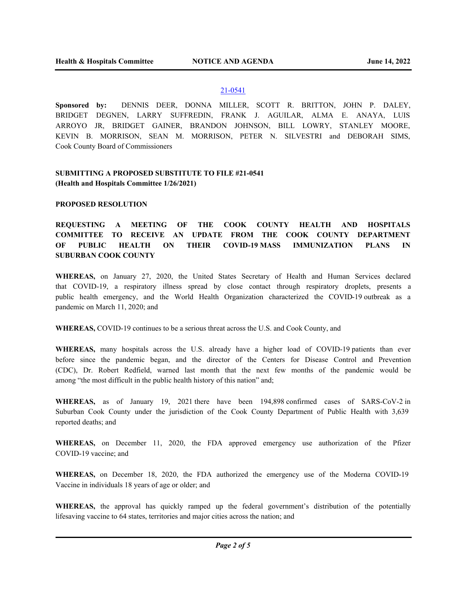# 21-0541

**Sponsored by:** DENNIS DEER, DONNA MILLER, SCOTT R. BRITTON, JOHN P. DALEY, BRIDGET DEGNEN, LARRY SUFFREDIN, FRANK J. AGUILAR, ALMA E. ANAYA, LUIS ARROYO JR, BRIDGET GAINER, BRANDON JOHNSON, BILL LOWRY, STANLEY MOORE, KEVIN B. MORRISON, SEAN M. MORRISON, PETER N. SILVESTRI and DEBORAH SIMS, Cook County Board of Commissioners

# **SUBMITTING A PROPOSED SUBSTITUTE TO FILE #21-0541 (Health and Hospitals Committee 1/26/2021)**

## **PROPOSED RESOLUTION**

# **REQUESTING A MEETING OF THE COOK COUNTY HEALTH AND HOSPITALS COMMITTEE TO RECEIVE AN UPDATE FROM THE COOK COUNTY DEPARTMENT OF PUBLIC HEALTH ON THEIR COVID-19 MASS IMMUNIZATION PLANS IN SUBURBAN COOK COUNTY**

**WHEREAS,** on January 27, 2020, the United States Secretary of Health and Human Services declared that COVID-19, a respiratory illness spread by close contact through respiratory droplets, presents a public health emergency, and the World Health Organization characterized the COVID-19 outbreak as a pandemic on March 11, 2020; and

**WHEREAS,** COVID-19 continues to be a serious threat across the U.S. and Cook County, and

**WHEREAS,** many hospitals across the U.S. already have a higher load of COVID-19 patients than ever before since the pandemic began, and the director of the Centers for Disease Control and Prevention (CDC), Dr. Robert Redfield, warned last month that the next few months of the pandemic would be among "the most difficult in the public health history of this nation" and;

**WHEREAS,** as of January 19, 2021 there have been 194,898 confirmed cases of SARS-CoV-2 in Suburban Cook County under the jurisdiction of the Cook County Department of Public Health with 3,639 reported deaths; and

**WHEREAS,** on December 11, 2020, the FDA approved emergency use authorization of the Pfizer COVID-19 vaccine; and

**WHEREAS,** on December 18, 2020, the FDA authorized the emergency use of the Moderna COVID-19 Vaccine in individuals 18 years of age or older; and

**WHEREAS,** the approval has quickly ramped up the federal government's distribution of the potentially lifesaving vaccine to 64 states, territories and major cities across the nation; and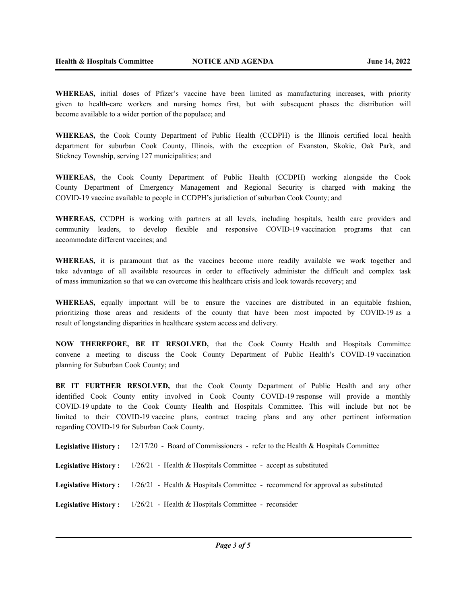**WHEREAS,** initial doses of Pfizer's vaccine have been limited as manufacturing increases, with priority given to health-care workers and nursing homes first, but with subsequent phases the distribution will become available to a wider portion of the populace; and

**WHEREAS,** the Cook County Department of Public Health (CCDPH) is the Illinois certified local health department for suburban Cook County, Illinois, with the exception of Evanston, Skokie, Oak Park, and Stickney Township, serving 127 municipalities; and

**WHEREAS,** the Cook County Department of Public Health (CCDPH) working alongside the Cook County Department of Emergency Management and Regional Security is charged with making the COVID-19 vaccine available to people in CCDPH's jurisdiction of suburban Cook County; and

**WHEREAS,** CCDPH is working with partners at all levels, including hospitals, health care providers and community leaders, to develop flexible and responsive COVID-19 vaccination programs that can accommodate different vaccines; and

**WHEREAS,** it is paramount that as the vaccines become more readily available we work together and take advantage of all available resources in order to effectively administer the difficult and complex task of mass immunization so that we can overcome this healthcare crisis and look towards recovery; and

**WHEREAS,** equally important will be to ensure the vaccines are distributed in an equitable fashion, prioritizing those areas and residents of the county that have been most impacted by COVID-19 as a result of longstanding disparities in healthcare system access and delivery.

**NOW THEREFORE, BE IT RESOLVED,** that the Cook County Health and Hospitals Committee convene a meeting to discuss the Cook County Department of Public Health's COVID-19 vaccination planning for Suburban Cook County; and

**BE IT FURTHER RESOLVED,** that the Cook County Department of Public Health and any other identified Cook County entity involved in Cook County COVID-19 response will provide a monthly COVID-19 update to the Cook County Health and Hospitals Committee. This will include but not be limited to their COVID-19 vaccine plans, contract tracing plans and any other pertinent information regarding COVID-19 for Suburban Cook County.

**Legislative History :** 12/17/20 - Board of Commissioners - refer to the Health & Hospitals Committee **Legislative History :** 1/26/21 - Health & Hospitals Committee - accept as substituted **Legislative History :** 1/26/21 - Health & Hospitals Committee - recommend for approval as substituted **Legislative History :** 1/26/21 - Health & Hospitals Committee - reconsider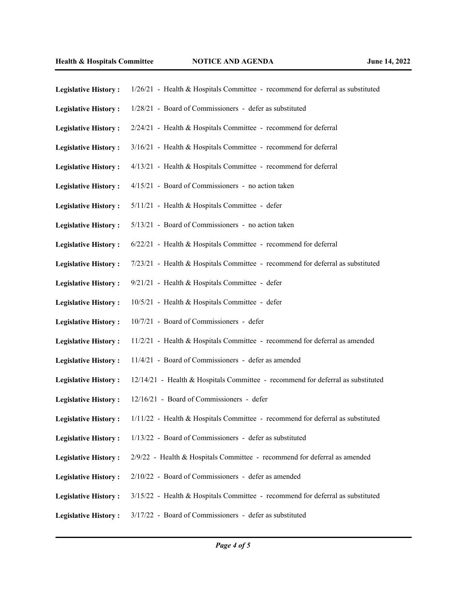| <b>Legislative History:</b> | 1/26/21 - Health & Hospitals Committee - recommend for deferral as substituted  |
|-----------------------------|---------------------------------------------------------------------------------|
| <b>Legislative History:</b> | 1/28/21 - Board of Commissioners - defer as substituted                         |
| <b>Legislative History:</b> | 2/24/21 - Health & Hospitals Committee - recommend for deferral                 |
| <b>Legislative History:</b> | 3/16/21 - Health & Hospitals Committee - recommend for deferral                 |
| <b>Legislative History:</b> | 4/13/21 - Health & Hospitals Committee - recommend for deferral                 |
| <b>Legislative History:</b> | 4/15/21 - Board of Commissioners - no action taken                              |
| <b>Legislative History:</b> | 5/11/21 - Health & Hospitals Committee - defer                                  |
| <b>Legislative History:</b> | 5/13/21 - Board of Commissioners - no action taken                              |
| <b>Legislative History:</b> | 6/22/21 - Health & Hospitals Committee - recommend for deferral                 |
| <b>Legislative History:</b> | 7/23/21 - Health & Hospitals Committee - recommend for deferral as substituted  |
| <b>Legislative History:</b> | 9/21/21 - Health & Hospitals Committee - defer                                  |
| <b>Legislative History:</b> | 10/5/21 - Health & Hospitals Committee - defer                                  |
| <b>Legislative History:</b> | 10/7/21 - Board of Commissioners - defer                                        |
| <b>Legislative History:</b> | 11/2/21 - Health & Hospitals Committee - recommend for deferral as amended      |
| <b>Legislative History:</b> | 11/4/21 - Board of Commissioners - defer as amended                             |
| <b>Legislative History:</b> | 12/14/21 - Health & Hospitals Committee - recommend for deferral as substituted |
| <b>Legislative History:</b> | 12/16/21 - Board of Commissioners - defer                                       |
| <b>Legislative History:</b> | 1/11/22 - Health & Hospitals Committee - recommend for deferral as substituted  |
| <b>Legislative History:</b> | 1/13/22 - Board of Commissioners - defer as substituted                         |
| <b>Legislative History:</b> | 2/9/22 - Health & Hospitals Committee - recommend for deferral as amended       |
| <b>Legislative History:</b> | 2/10/22 - Board of Commissioners - defer as amended                             |
| <b>Legislative History:</b> | 3/15/22 - Health & Hospitals Committee - recommend for deferral as substituted  |
| <b>Legislative History:</b> | 3/17/22 - Board of Commissioners - defer as substituted                         |